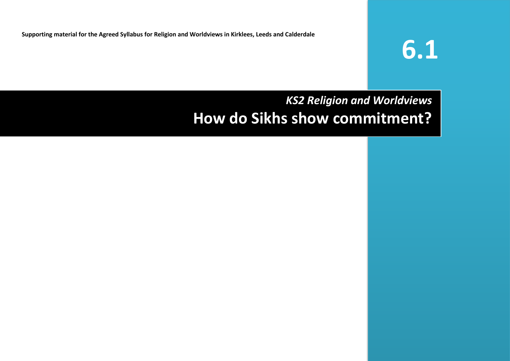**Supporting material for the Agreed Syllabus for Religion and Worldviews in Kirklees, Leeds and Calderdale** 

# **6.1**

# *KS2 Religion and Worldviews* **How do Sikhs show commitment?**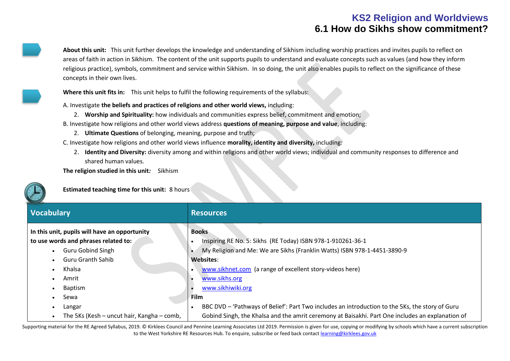**About this unit:** This unit further develops the knowledge and understanding of Sikhism including worship practices and invites pupils to reflect on areas of faith in action in Sikhism. The content of the unit supports pupils to understand and evaluate concepts such as values (and how they inform religious practice), symbols, commitment and service within Sikhism. In so doing, the unit also enables pupils to reflect on the significance of these concepts in their own lives.

**Where this unit fits in:** This unit helps to fulfil the following requirements of the syllabus:

A. Investigate **the beliefs and practices of religions and other world views,** including:

- 2. **Worship and Spirituality:** how individuals and communities express belief, commitment and emotion;
- B. Investigate how religions and other world views address **questions of meaning, purpose and value**, including:
	- 2. **Ultimate Questions** of belonging, meaning, purpose and truth;
- C. Investigate how religions and other world views influence **morality, identity and diversity,** including:
	- 2. **Identity and Diversity:** diversity among and within religions and other world views; individual and community responses to difference and shared human values.

**The religion studied in this unit***:* Sikhism

**Estimated teaching time for this unit:** 8 hours

| <b>Vocabulary</b>                             | <b>Resources</b>                                                                                 |
|-----------------------------------------------|--------------------------------------------------------------------------------------------------|
| In this unit, pupils will have an opportunity | <b>Books</b>                                                                                     |
| to use words and phrases related to:          | Inspiring RE No. 5: Sikhs (RE Today) ISBN 978-1-910261-36-1                                      |
| <b>Guru Gobind Singh</b>                      | My Religion and Me: We are Sikhs (Franklin Watts) ISBN 978-1-4451-3890-9                         |
| <b>Guru Granth Sahib</b>                      | Websites:                                                                                        |
| Khalsa                                        | www.sikhnet.com (a range of excellent story-videos here)                                         |
| Amrit                                         | www.sikhs.org                                                                                    |
| Baptism                                       | www.sikhiwiki.org                                                                                |
| Sewa                                          | <b>Film</b>                                                                                      |
| Langar                                        | BBC DVD - 'Pathways of Belief': Part Two includes an introduction to the 5Ks, the story of Guru  |
| The 5Ks (Kesh – uncut hair, Kangha – comb,    | Gobind Singh, the Khalsa and the amrit ceremony at Baisakhi. Part One includes an explanation of |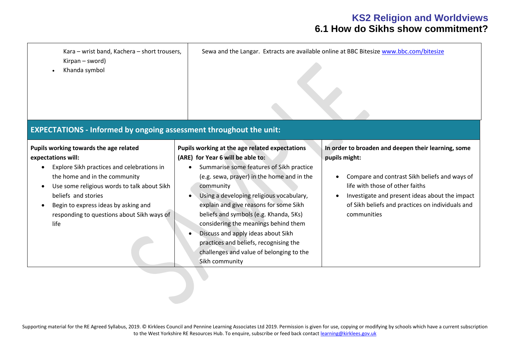Kara – wrist band, Kachera – short trousers, Kirpan – sword) • Khanda symbol Sewa and the Langar. Extracts are available online at BBC Bitesize [www.bbc.com/bitesize](http://www.bbc.com/bitesize) **EXPECTATIONS - Informed by ongoing assessment throughout the unit: Pupils working towards the age related expectations will:** • Explore Sikh practices and celebrations in the home and in the community • Use some religious words to talk about Sikh beliefs and stories • Begin to express ideas by asking and responding to questions about Sikh ways of life **Pupils working at the age related expectations (ARE) for Year 6 will be able to:** • Summarise some features of Sikh practice (e.g. sewa, prayer) in the home and in the community • Using a developing religious vocabulary, explain and give reasons for some Sikh beliefs and symbols (e.g. Khanda, 5Ks) considering the meanings behind them • Discuss and apply ideas about Sikh practices and beliefs, recognising the challenges and value of belonging to the Sikh community **In order to broaden and deepen their learning, some pupils might:** • Compare and contrast Sikh beliefs and ways of life with those of other faiths • Investigate and present ideas about the impact of Sikh beliefs and practices on individuals and communities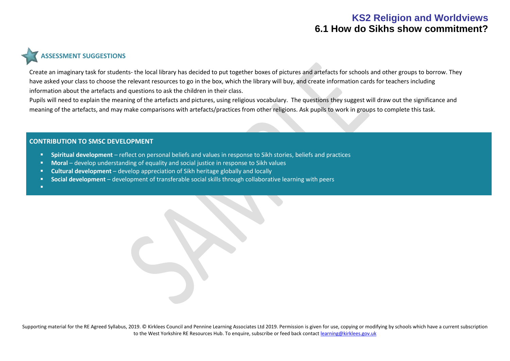# **ASSESSMENT SUGGESTIONS**

Create an imaginary task for students- the local library has decided to put together boxes of pictures and artefacts for schools and other groups to borrow. They have asked your class to choose the relevant resources to go in the box, which the library will buy, and create information cards for teachers including information about the artefacts and questions to ask the children in their class.

Pupils will need to explain the meaning of the artefacts and pictures, using religious vocabulary. The questions they suggest will draw out the significance and meaning of the artefacts, and may make comparisons with artefacts/practices from other religions. Ask pupils to work in groups to complete this task.

#### **CONTRIBUTION TO SMSC DEVELOPMENT**

- **Spiritual development** reflect on personal beliefs and values in response to Sikh stories, beliefs and practices
- **Moral** develop understanding of equality and social justice in response to Sikh values
- **Cultural development** develop appreciation of Sikh heritage globally and locally
- **Social development** development of transferable social skills through collaborative learning with peers

▪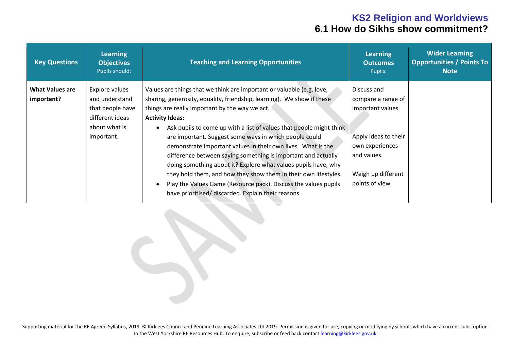| <b>Key Questions</b>                 | <b>Learning</b><br><b>Objectives</b><br>Pupils should:                                                 | <b>Teaching and Learning Opportunities</b>                                                                                                                                                                                                                                                                                                                                                                                                                                                                                                                                                                                                                                                                                                                   | <b>Learning</b><br><b>Outcomes</b><br>Pupils:                                                                                                           | <b>Wider Learning</b><br><b>Opportunities / Points To</b><br><b>Note</b> |
|--------------------------------------|--------------------------------------------------------------------------------------------------------|--------------------------------------------------------------------------------------------------------------------------------------------------------------------------------------------------------------------------------------------------------------------------------------------------------------------------------------------------------------------------------------------------------------------------------------------------------------------------------------------------------------------------------------------------------------------------------------------------------------------------------------------------------------------------------------------------------------------------------------------------------------|---------------------------------------------------------------------------------------------------------------------------------------------------------|--------------------------------------------------------------------------|
| <b>What Values are</b><br>important? | Explore values<br>and understand<br>that people have<br>different ideas<br>about what is<br>important. | Values are things that we think are important or valuable (e.g. love,<br>sharing, generosity, equality, friendship, learning). We show if these<br>things are really important by the way we act.<br><b>Activity Ideas:</b><br>Ask pupils to come up with a list of values that people might think<br>are important. Suggest some ways in which people could<br>demonstrate important values in their own lives. What is the<br>difference between saying something is important and actually<br>doing something about it? Explore what values pupils have, why<br>they hold them, and how they show them in their own lifestyles.<br>Play the Values Game (Resource pack). Discuss the values pupils<br>have prioritised/ discarded. Explain their reasons. | Discuss and<br>compare a range of<br>important values<br>Apply ideas to their<br>own experiences<br>and values.<br>Weigh up different<br>points of view |                                                                          |

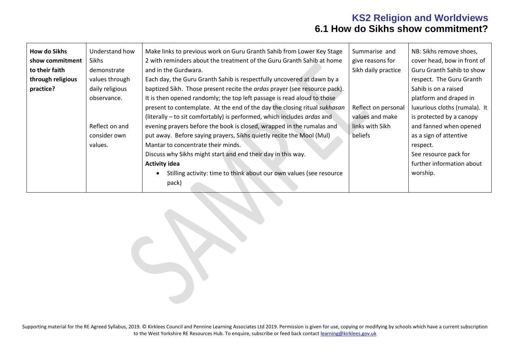| <b>How do Sikhs</b> | Understand how  | Make links to previous work on Guru Granth Sahib from Lower Key Stage     | Summarise and       | NB: Sikhs remove shoes,       |
|---------------------|-----------------|---------------------------------------------------------------------------|---------------------|-------------------------------|
| show commitment     | Sikhs           | 2 with reminders about the treatment of the Guru Granth Sahib at home     | give reasons for    | cover head, bow in front of   |
| to their faith      | demonstrate     | and in the Gurdwara.                                                      | Sikh daily practice | Guru Granth Sahib to show     |
| through religious   | values through  | Each day, the Guru Granth Sahib is respectfully uncovered at dawn by a    |                     | respect. The Guru Granth      |
| practice?           | daily religious | baptized Sikh. Those present recite the ardas prayer (see resource pack). |                     | Sahib is on a raised          |
|                     | observance.     | It is then opened randomly; the top left passage is read aloud to those   |                     | platform and draped in        |
|                     |                 | present to contemplate. At the end of the day the closing ritual sukhasan | Reflect on personal | luxurious cloths (rumala). It |
|                     |                 | (literally – to sit comfortably) is performed, which includes ardas and   | values and make     | is protected by a canopy      |
|                     | Reflect on and  | evening prayers before the book is closed, wrapped in the rumalas and     | links with Sikh     | and fanned when opened        |
|                     | consider own    | put away. Before saying prayers, Sikhs quietly recite the Mool (Mul)      | beliefs             | as a sign of attentive        |
|                     | values.         | Mantar to concentrate their minds.                                        |                     | respect.                      |
|                     |                 | Discuss why Sikhs might start and end their day in this way.              |                     | See resource pack for         |
|                     |                 | <b>Activity idea</b>                                                      |                     | further information about     |
|                     |                 | Stilling activity: time to think about our own values (see resource       |                     | worship.                      |
|                     |                 | pack)                                                                     |                     |                               |
|                     |                 |                                                                           |                     |                               |

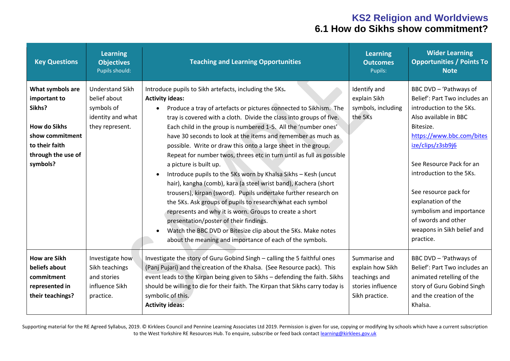| <b>Key Questions</b>                                                                                                                     | <b>Learning</b><br><b>Objectives</b><br>Pupils should:                                       | <b>Teaching and Learning Opportunities</b>                                                                                                                                                                                                                                                                                                                                                                                                                                                                                                                                                                                                                                                                                                                                                                                                                                                                                                                                                                                                                         | Learning<br><b>Outcomes</b><br>Pupils:                                                    | <b>Wider Learning</b><br><b>Opportunities / Points To</b><br><b>Note</b>                                                                                                                                                                                                                                                                                                         |
|------------------------------------------------------------------------------------------------------------------------------------------|----------------------------------------------------------------------------------------------|--------------------------------------------------------------------------------------------------------------------------------------------------------------------------------------------------------------------------------------------------------------------------------------------------------------------------------------------------------------------------------------------------------------------------------------------------------------------------------------------------------------------------------------------------------------------------------------------------------------------------------------------------------------------------------------------------------------------------------------------------------------------------------------------------------------------------------------------------------------------------------------------------------------------------------------------------------------------------------------------------------------------------------------------------------------------|-------------------------------------------------------------------------------------------|----------------------------------------------------------------------------------------------------------------------------------------------------------------------------------------------------------------------------------------------------------------------------------------------------------------------------------------------------------------------------------|
| What symbols are<br>important to<br>Sikhs?<br><b>How do Sikhs</b><br>show commitment<br>to their faith<br>through the use of<br>symbols? | <b>Understand Sikh</b><br>belief about<br>symbols of<br>identity and what<br>they represent. | Introduce pupils to Sikh artefacts, including the 5Ks.<br><b>Activity ideas:</b><br>Produce a tray of artefacts or pictures connected to Sikhism. The<br>$\bullet$<br>tray is covered with a cloth. Divide the class into groups of five.<br>Each child in the group is numbered 1-5. All the 'number ones'<br>have 30 seconds to look at the items and remember as much as<br>possible. Write or draw this onto a large sheet in the group.<br>Repeat for number twos, threes etc in turn until as full as possible<br>a picture is built up.<br>Introduce pupils to the 5Ks worn by Khalsa Sikhs - Kesh (uncut<br>hair), kangha (comb), kara (a steel wrist band), Kachera (short<br>trousers), kirpan (sword). Pupils undertake further research on<br>the 5Ks. Ask groups of pupils to research what each symbol<br>represents and why it is worn. Groups to create a short<br>presentation/poster of their findings.<br>Watch the BBC DVD or Bitesize clip about the 5Ks. Make notes<br>$\bullet$<br>about the meaning and importance of each of the symbols. | Identify and<br>explain Sikh<br>symbols, including<br>the 5Ks                             | BBC DVD - 'Pathways of<br>Belief': Part Two includes an<br>introduction to the 5Ks.<br>Also available in BBC<br>Bitesize.<br>https://www.bbc.com/bites<br>ize/clips/z3sb9j6<br>See Resource Pack for an<br>introduction to the 5Ks.<br>See resource pack for<br>explanation of the<br>symbolism and importance<br>of swords and other<br>weapons in Sikh belief and<br>practice. |
| <b>How are Sikh</b><br>beliefs about<br>commitment<br>represented in<br>their teachings?                                                 | Investigate how<br>Sikh teachings<br>and stories<br>influence Sikh<br>practice.              | Investigate the story of Guru Gobind Singh - calling the 5 faithful ones<br>(Panj Pujari) and the creation of the Khalsa. (See Resource pack). This<br>event leads to the Kirpan being given to Sikhs - defending the faith. Sikhs<br>should be willing to die for their faith. The Kirpan that Sikhs carry today is<br>symbolic of this.<br><b>Activity ideas:</b>                                                                                                                                                                                                                                                                                                                                                                                                                                                                                                                                                                                                                                                                                                | Summarise and<br>explain how Sikh<br>teachings and<br>stories influence<br>Sikh practice. | BBC DVD - 'Pathways of<br>Belief': Part Two includes an<br>animated retelling of the<br>story of Guru Gobind Singh<br>and the creation of the<br>Khalsa.                                                                                                                                                                                                                         |